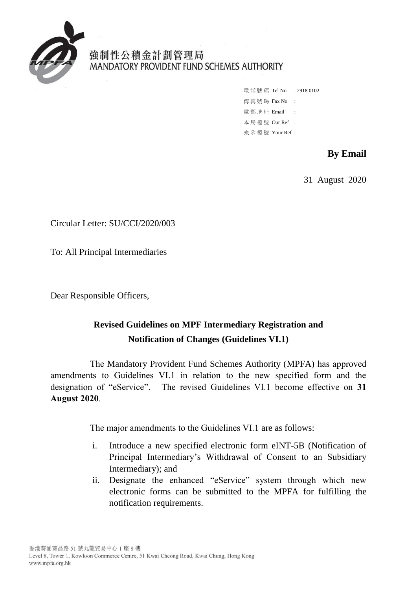

## 強制性公積金計劃管理局 MANDATORY PROVIDENT FUND SCHEMES AUTHORITY

雷 話 號 碼 Tel No : 2918 0102 傳真號碼 Fax No : 電 郵 地 址 Email : 本 局 檔 號 Our Ref : 來 函 檔 號 Your Ref :

## **By Email**

31 August 2020

Circular Letter: SU/CCI/2020/003

To: All Principal Intermediaries

Dear Responsible Officers,

## **Revised Guidelines on MPF Intermediary Registration and Notification of Changes (Guidelines VI.1)**

The Mandatory Provident Fund Schemes Authority (MPFA) has approved amendments to Guidelines VI.1 in relation to the new specified form and the designation of "eService". The revised Guidelines VI.1 become effective on **31 August 2020**.

The major amendments to the Guidelines VI.1 are as follows:

- i. Introduce a new specified electronic form eINT-5B (Notification of Principal Intermediary's Withdrawal of Consent to an Subsidiary Intermediary); and
- ii. Designate the enhanced "eService" system through which new electronic forms can be submitted to the MPFA for fulfilling the notification requirements.